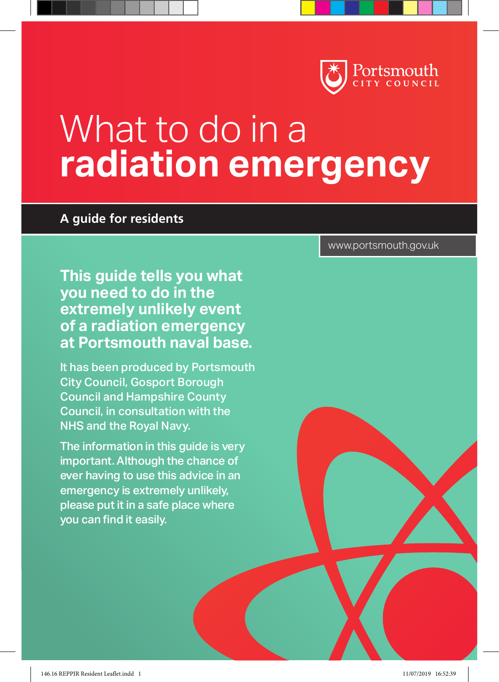

# What to do in a **radiation emergency**

#### **A guide for residents**

**This guide tells you what you need to do in the extremely unlikely event of a radiation emergency at Portsmouth naval base.**

It has been produced by Portsmouth City Council, Gosport Borough Council and Hampshire County Council, in consultation with the NHS and the Royal Navy.

The information in this guide is very important. Although the chance of ever having to use this advice in an emergency is extremely unlikely, please put it in a safe place where you can find it easily.

www.portsmouth.gov.uk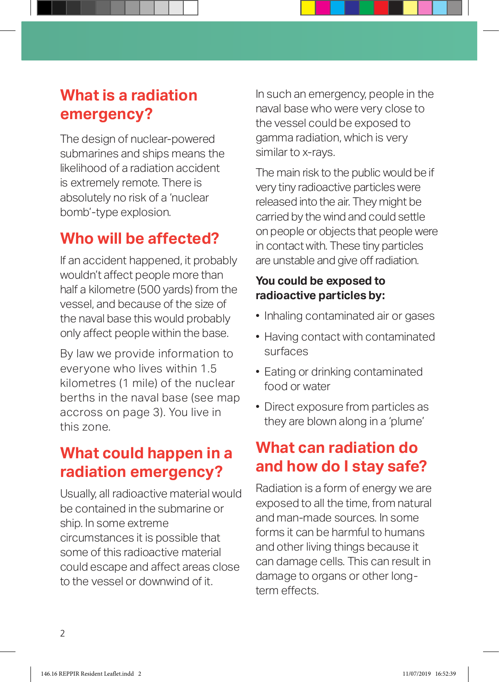# **What is a radiation emergency?**

The design of nuclear-powered submarines and ships means the likelihood of a radiation accident is extremely remote. There is absolutely no risk of a 'nuclear bomb'-type explosion.

# **Who will be affected?**

If an accident happened, it probably wouldn't affect people more than half a kilometre (500 yards) from the vessel, and because of the size of the naval base this would probably only affect people within the base.

By law we provide information to everyone who lives within 1.5 kilometres (1 mile) of the nuclear berths in the naval base (see map accross on page 3). You live in this zone.

# **What could happen in a radiation emergency?**

Usually, all radioactive material would be contained in the submarine or ship. In some extreme circumstances it is possible that some of this radioactive material could escape and affect areas close to the vessel or downwind of it.

In such an emergency, people in the naval base who were very close to the vessel could be exposed to gamma radiation, which is very similar to x-rays.

The main risk to the public would be if very tiny radioactive particles were released into the air. They might be carried by the wind and could settle on people or objects that people were in contact with. These tiny particles are unstable and give off radiation.

#### **You could be exposed to radioactive particles by:**

- Inhaling contaminated air or gases
- Having contact with contaminated surfaces
- Eating or drinking contaminated food or water
- Direct exposure from particles as they are blown along in a 'plume'

# **What can radiation do and how do I stay safe?**

Radiation is a form of energy we are exposed to all the time, from natural and man-made sources. In some forms it can be harmful to humans and other living things because it can damage cells. This can result in damage to organs or other longterm effects.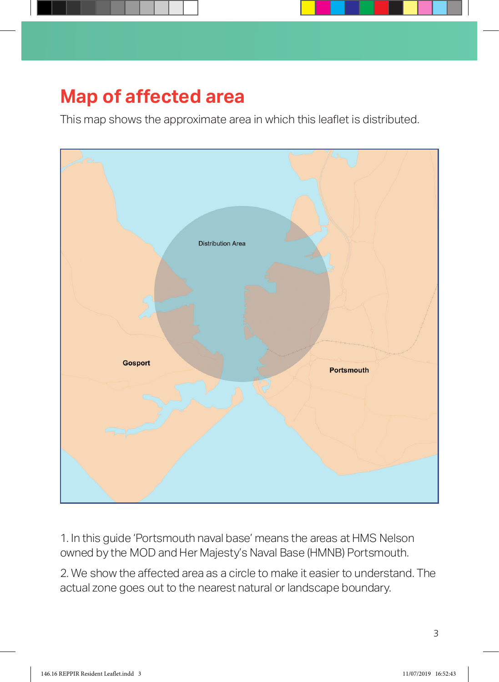

# **Map of affected area**

This map shows the approximate area in which this leaflet is distributed.



1. In this guide 'Portsmouth naval base' means the areas at HMS Nelson owned by the MOD and Her Majesty's Naval Base (HMNB) Portsmouth.

2. We show the affected area as a circle to make it easier to understand. The actual zone goes out to the nearest natural or landscape boundary.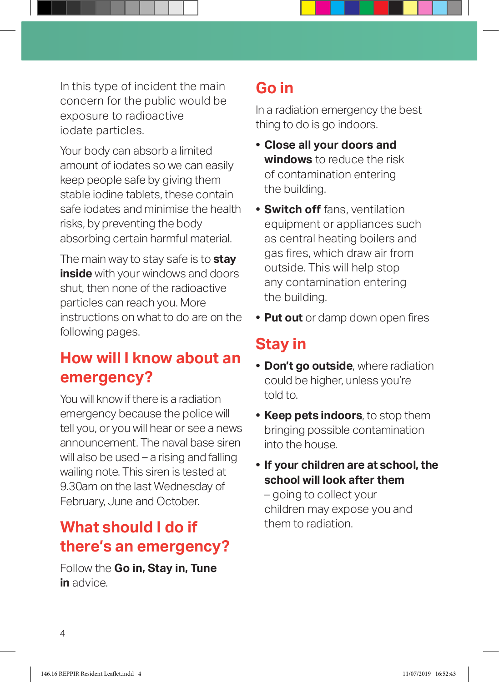In this type of incident the main concern for the public would be exposure to radioactive iodate particles.

Your body can absorb a limited amount of iodates so we can easily keep people safe by giving them stable iodine tablets, these contain safe iodates and minimise the health risks, by preventing the body absorbing certain harmful material.

The main way to stay safe is to **stay inside** with your windows and doors shut, then none of the radioactive particles can reach you. More instructions on what to do are on the following pages.

# **How will I know about an emergency?**

You will know if there is a radiation emergency because the police will tell you, or you will hear or see a news announcement. The naval base siren will also be used – a rising and falling wailing note. This siren is tested at 9.30am on the last Wednesday of February, June and October.

# **What should I do if there's an emergency?**

Follow the **Go in, Stay in, Tune in** advice.

# **Go in**

In a radiation emergency the best thing to do is go indoors.

- **• Close all your doors and windows** to reduce the risk of contamination entering the building.
- **• Switch off** fans, ventilation equipment or appliances such as central heating boilers and gas fires, which draw air from outside. This will help stop any contamination entering the building.
- **• Put out** or damp down open fires

# **Stay in**

- **• Don't go outside**, where radiation could be higher, unless you're told to.
- **• Keep pets indoors**, to stop them bringing possible contamination into the house.
- **• If your children are at school, the school will look after them**

– going to collect your children may expose you and them to radiation.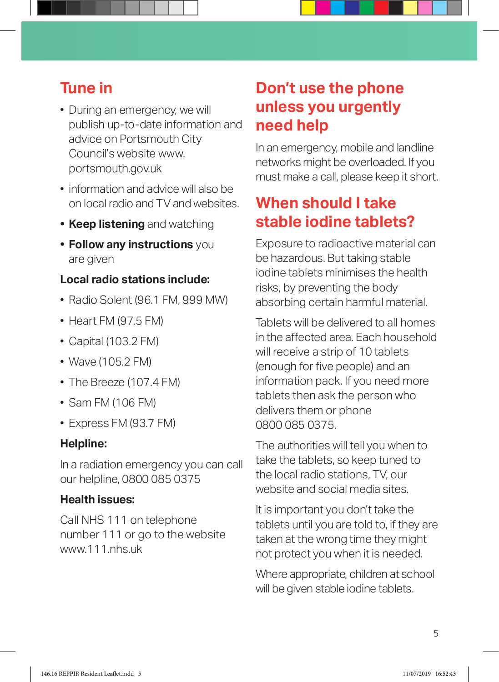# **Tune in**

- During an emergency, we will publish up-to-date information and advice on Portsmouth City Council's website www. portsmouth.gov.uk
- information and advice will also be on local radio and TV and websites.
- **• Keep listening** and watching
- **• Follow any instructions** you are given

#### **Local radio stations include:**

- Radio Solent (96.1 FM, 999 MW)
- $\bullet$  Heart FM (97.5 FM)
- Capital (103.2 FM)
- Wave (105.2 FM)
- The Breeze (107.4 FM)
- Sam FM (106 FM)
- Express FM (93.7 FM)

#### **Helpline:**

In a radiation emergency you can call our helpline, 0800 085 0375

#### **Health issues:**

Call NHS 111 on telephone number 111 or go to the website www.111.nhs.uk

# **Don't use the phone unless you urgently need help**

In an emergency, mobile and landline networks might be overloaded. If you must make a call, please keep it short.

# **When should I take stable iodine tablets?**

Exposure to radioactive material can be hazardous. But taking stable iodine tablets minimises the health risks, by preventing the body absorbing certain harmful material.

Tablets will be delivered to all homes in the affected area. Each household will receive a strip of 10 tablets (enough for five people) and an information pack. If you need more tablets then ask the person who delivers them or phone 0800 085 0375.

The authorities will tell you when to take the tablets, so keep tuned to the local radio stations, TV, our website and social media sites.

It is important you don't take the tablets until you are told to, if they are taken at the wrong time they might not protect you when it is needed.

Where appropriate, children at school will be given stable iodine tablets.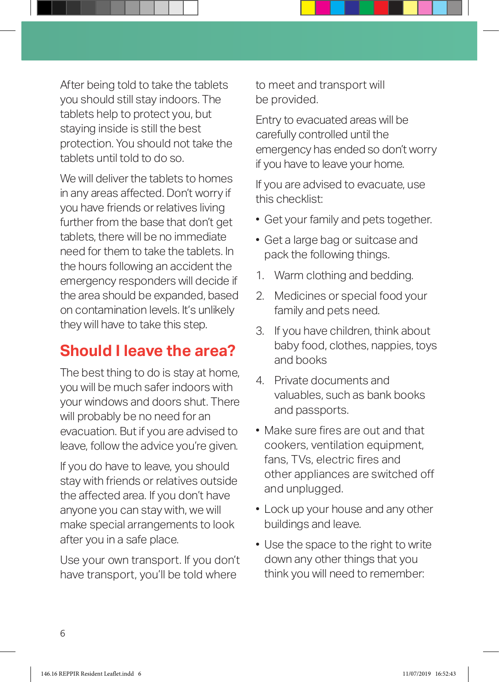After being told to take the tablets you should still stay indoors. The tablets help to protect you, but staying inside is still the best protection. You should not take the tablets until told to do so.

We will deliver the tablets to homes in any areas affected. Don't worry if you have friends or relatives living further from the base that don't get tablets, there will be no immediate need for them to take the tablets. In the hours following an accident the emergency responders will decide if the area should be expanded, based on contamination levels. It's unlikely they will have to take this step.

# **Should I leave the area?**

The best thing to do is stay at home, you will be much safer indoors with your windows and doors shut. There will probably be no need for an evacuation. But if you are advised to leave, follow the advice you're given.

If you do have to leave, you should stay with friends or relatives outside the affected area. If you don't have anyone you can stay with, we will make special arrangements to look after you in a safe place.

Use your own transport. If you don't have transport, you'll be told where

to meet and transport will be provided.

Entry to evacuated areas will be carefully controlled until the emergency has ended so don't worry if you have to leave your home.

If you are advised to evacuate, use this checklist:

- Get your family and pets together.
- Get a large bag or suitcase and pack the following things.
- 1. Warm clothing and bedding.
- 2. Medicines or special food your family and pets need.
- 3. If you have children, think about baby food, clothes, nappies, toys and books
- 4. Private documents and valuables, such as bank books and passports.
- Make sure fires are out and that cookers, ventilation equipment, fans, TVs, electric fires and other appliances are switched off and unplugged.
- Lock up your house and any other buildings and leave.
- Use the space to the right to write down any other things that you think you will need to remember: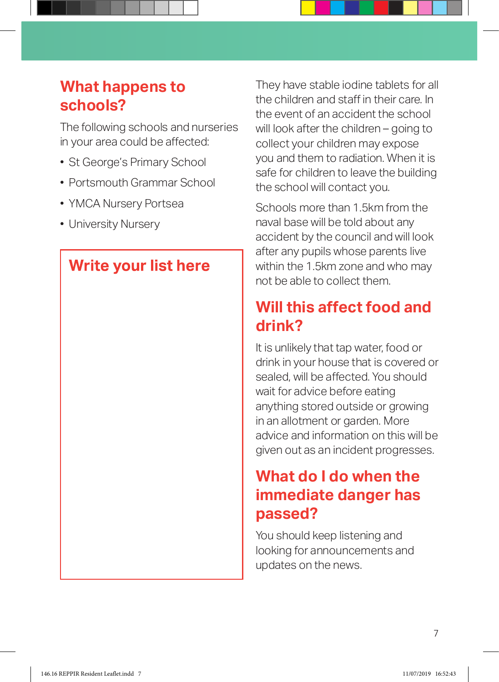# **What happens to schools?**

The following schools and nurseries in your area could be affected:

- St George's Primary School
- Portsmouth Grammar School
- YMCA Nursery Portsea
- University Nursery

### **Write your list here**

They have stable iodine tablets for all the children and staff in their care. In the event of an accident the school will look after the children – going to collect your children may expose you and them to radiation. When it is safe for children to leave the building the school will contact you.

Schools more than 1.5km from the naval base will be told about any accident by the council and will look after any pupils whose parents live within the 1.5km zone and who may not be able to collect them.

# **Will this affect food and drink?**

It is unlikely that tap water, food or drink in your house that is covered or sealed, will be affected. You should wait for advice before eating anything stored outside or growing in an allotment or garden. More advice and information on this will be given out as an incident progresses.

# **What do I do when the immediate danger has passed?**

You should keep listening and looking for announcements and updates on the news.